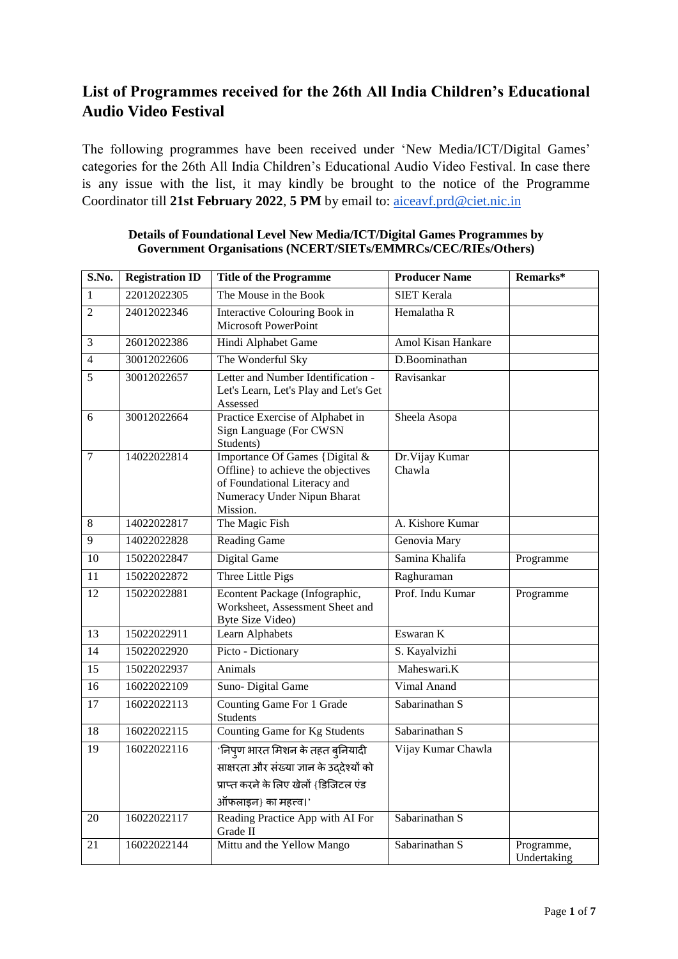# **List of Programmes received for the 26th All India Children's Educational Audio Video Festival**

The following programmes have been received under 'New Media/ICT/Digital Games' categories for the 26th All India Children's Educational Audio Video Festival. In case there is any issue with the list, it may kindly be brought to the notice of the Programme Coordinator till **21st February 2022**, **5 PM** by email to: aiceavf.prd@ciet.nic.in

| S.No.           | <b>Registration ID</b> | <b>Title of the Programme</b>                                                                                                                   | <b>Producer Name</b>      | Remarks*                  |
|-----------------|------------------------|-------------------------------------------------------------------------------------------------------------------------------------------------|---------------------------|---------------------------|
| 1               | 22012022305            | The Mouse in the Book                                                                                                                           | <b>SIET Kerala</b>        |                           |
| $\overline{2}$  | 24012022346            | Interactive Colouring Book in<br>Microsoft PowerPoint                                                                                           | Hemalatha R               |                           |
| 3               | 26012022386            | Hindi Alphabet Game                                                                                                                             | Amol Kisan Hankare        |                           |
| $\overline{4}$  | 30012022606            | The Wonderful Sky                                                                                                                               | D.Boominathan             |                           |
| 5               | 30012022657            | Letter and Number Identification -<br>Let's Learn, Let's Play and Let's Get<br>Assessed                                                         | Ravisankar                |                           |
| 6               | 30012022664            | Practice Exercise of Alphabet in<br>Sign Language (For CWSN<br>Students)                                                                        | Sheela Asopa              |                           |
| 7               | 14022022814            | Importance Of Games {Digital &<br>Offline} to achieve the objectives<br>of Foundational Literacy and<br>Numeracy Under Nipun Bharat<br>Mission. | Dr. Vijay Kumar<br>Chawla |                           |
| 8               | 14022022817            | The Magic Fish                                                                                                                                  | A. Kishore Kumar          |                           |
| 9               | 14022022828            | <b>Reading Game</b>                                                                                                                             | Genovia Mary              |                           |
| $\overline{10}$ | 15022022847            | Digital Game                                                                                                                                    | Samina Khalifa            | Programme                 |
| $\overline{11}$ | 15022022872            | Three Little Pigs                                                                                                                               | Raghuraman                |                           |
| 12              | 15022022881            | Econtent Package (Infographic,<br>Worksheet, Assessment Sheet and<br>Byte Size Video)                                                           | Prof. Indu Kumar          | Programme                 |
| $\overline{13}$ | 15022022911            | Learn Alphabets                                                                                                                                 | Eswaran K                 |                           |
| $\overline{14}$ | 15022022920            | Picto - Dictionary                                                                                                                              | S. Kayalvizhi             |                           |
| 15              | 15022022937            | Animals                                                                                                                                         | Maheswari.K               |                           |
| 16              | 16022022109            | Suno- Digital Game                                                                                                                              | Vimal Anand               |                           |
| 17              | 16022022113            | <b>Counting Game For 1 Grade</b><br><b>Students</b>                                                                                             | Sabarinathan S            |                           |
| 18              | 16022022115            | Counting Game for Kg Students                                                                                                                   | Sabarinathan S            |                           |
| $\overline{19}$ | 16022022116            | 'निपुण भारत मिशन के तहत बुनियादी                                                                                                                | Vijay Kumar Chawla        |                           |
|                 |                        | साक्षरता और संख्या ज्ञान के उददेश्यों को                                                                                                        |                           |                           |
|                 |                        | प्राप्त करने के लिए खेलों {डिजिटल एंड                                                                                                           |                           |                           |
|                 |                        | ऑफलाइन} का महत्त्व।'                                                                                                                            |                           |                           |
| 20              | 16022022117            | Reading Practice App with AI For<br>Grade II                                                                                                    | Sabarinathan S            |                           |
| 21              | 16022022144            | Mittu and the Yellow Mango                                                                                                                      | Sabarinathan S            | Programme,<br>Undertaking |

#### **Details of Foundational Level New Media/ICT/Digital Games Programmes by Government Organisations (NCERT/SIETs/EMMRCs/CEC/RIEs/Others)**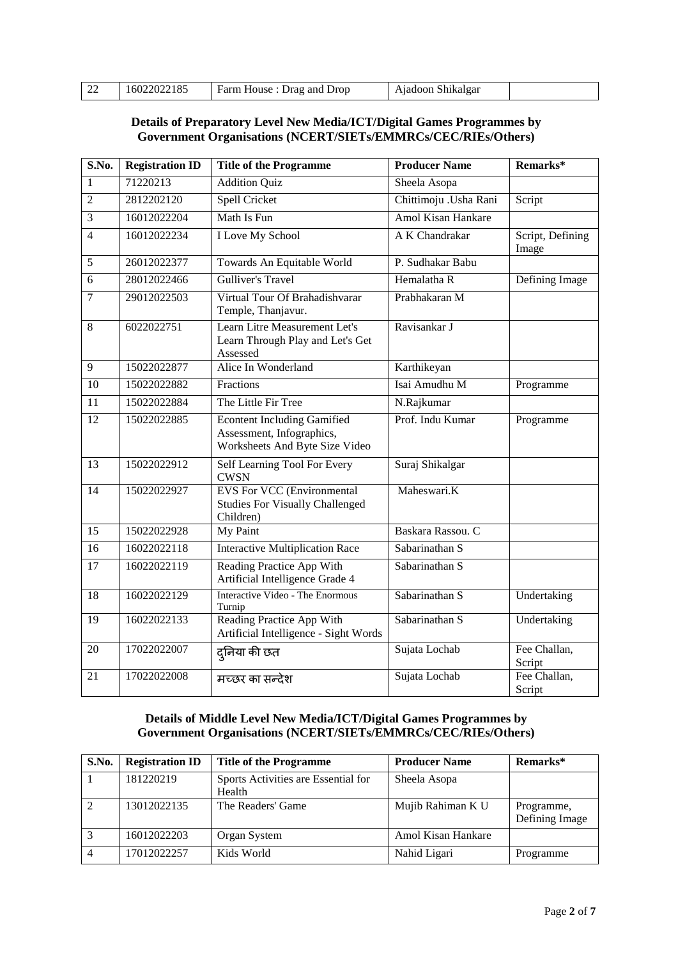| 16022022185<br>$\sqrt{22}$<br>Ajadoon Shikalgar<br>Farm House : Drag and Drop |  |
|-------------------------------------------------------------------------------|--|
|-------------------------------------------------------------------------------|--|

# **Details of Preparatory Level New Media/ICT/Digital Games Programmes by Government Organisations (NCERT/SIETs/EMMRCs/CEC/RIEs/Others)**

| S.No.           | <b>Registration ID</b> | <b>Title of the Programme</b>                                                                     | <b>Producer Name</b>      | Remarks*                  |
|-----------------|------------------------|---------------------------------------------------------------------------------------------------|---------------------------|---------------------------|
| 1               | 71220213               | <b>Addition Quiz</b>                                                                              | Sheela Asopa              |                           |
| $\overline{2}$  | 2812202120             | Spell Cricket                                                                                     | Chittimoju .Usha Rani     | Script                    |
| $\overline{3}$  | 16012022204            | Math Is Fun                                                                                       | <b>Amol Kisan Hankare</b> |                           |
| $\overline{4}$  | 16012022234            | I Love My School                                                                                  | A K Chandrakar            | Script, Defining<br>Image |
| 5               | 26012022377            | Towards An Equitable World                                                                        | P. Sudhakar Babu          |                           |
| 6               | 28012022466            | <b>Gulliver's Travel</b>                                                                          | Hemalatha R               | Defining Image            |
| $\overline{7}$  | 29012022503            | Virtual Tour Of Brahadishvarar<br>Temple, Thanjavur.                                              | Prabhakaran M             |                           |
| 8               | 6022022751             | Learn Litre Measurement Let's<br>Learn Through Play and Let's Get<br>Assessed                     | Ravisankar J              |                           |
| 9               | 15022022877            | Alice In Wonderland                                                                               | Karthikeyan               |                           |
| 10              | 15022022882            | Fractions                                                                                         | Isai Amudhu M             | Programme                 |
| 11              | 15022022884            | The Little Fir Tree                                                                               | N.Rajkumar                |                           |
| 12              | 15022022885            | <b>Econtent Including Gamified</b><br>Assessment, Infographics,<br>Worksheets And Byte Size Video | Prof. Indu Kumar          | Programme                 |
| 13              | 15022022912            | Self Learning Tool For Every<br><b>CWSN</b>                                                       | Suraj Shikalgar           |                           |
| 14              | 15022022927            | <b>EVS For VCC (Environmental</b><br><b>Studies For Visually Challenged</b><br>Children)          | Maheswari.K               |                           |
| 15              | 15022022928            | My Paint                                                                                          | Baskara Rassou. C         |                           |
| $\overline{16}$ | 16022022118            | <b>Interactive Multiplication Race</b>                                                            | Sabarinathan S            |                           |
| 17              | 16022022119            | Reading Practice App With<br>Artificial Intelligence Grade 4                                      | Sabarinathan S            |                           |
| 18              | 16022022129            | <b>Interactive Video - The Enormous</b><br>Turnip                                                 | Sabarinathan S            | Undertaking               |
| 19              | 16022022133            | Reading Practice App With<br>Artificial Intelligence - Sight Words                                | Sabarinathan S            | Undertaking               |
| 20              | 17022022007            | दुनिया की छत                                                                                      | Sujata Lochab             | Fee Challan,<br>Script    |
| 21              | 17022022008            | मच्छर का सन्देश                                                                                   | Sujata Lochab             | Fee Challan,<br>Script    |

## **Details of Middle Level New Media/ICT/Digital Games Programmes by Government Organisations (NCERT/SIETs/EMMRCs/CEC/RIEs/Others)**

| S.No. | <b>Registration ID</b> | <b>Title of the Programme</b>                 | <b>Producer Name</b> | Remarks*                     |
|-------|------------------------|-----------------------------------------------|----------------------|------------------------------|
|       | 181220219              | Sports Activities are Essential for<br>Health | Sheela Asopa         |                              |
|       | 13012022135            | The Readers' Game                             | Mujib Rahiman K U    | Programme,<br>Defining Image |
| 3     | 16012022203            | Organ System                                  | Amol Kisan Hankare   |                              |
|       | 17012022257            | Kids World                                    | Nahid Ligari         | Programme                    |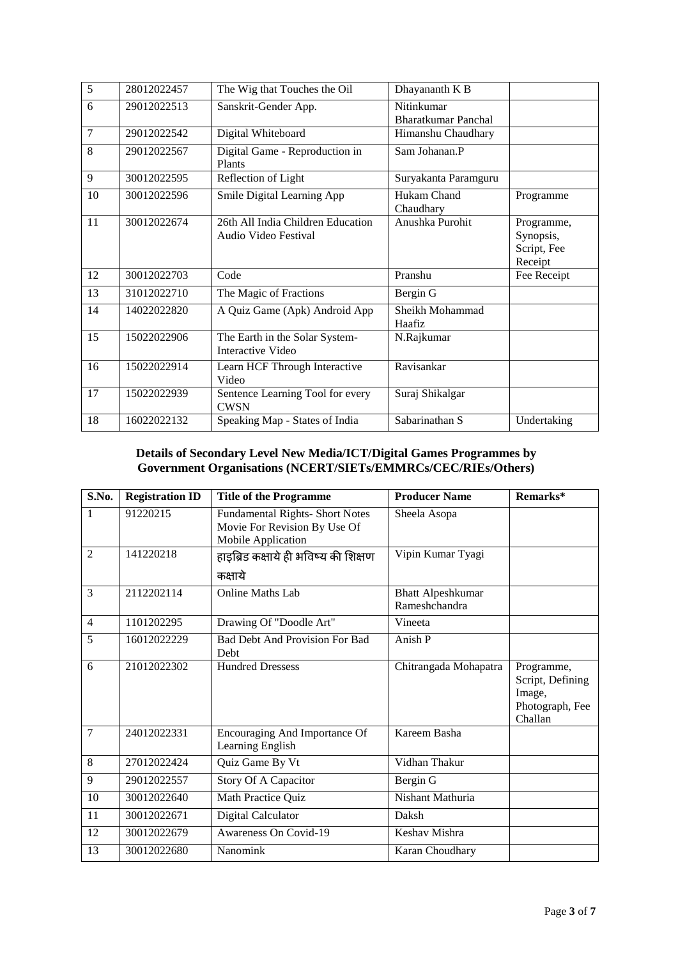| $\overline{5}$ | 28012022457 | The Wig that Touches the Oil                               | Dhayananth K B                    |                                                   |
|----------------|-------------|------------------------------------------------------------|-----------------------------------|---------------------------------------------------|
| 6              | 29012022513 | Sanskrit-Gender App.                                       | Nitinkumar<br>Bharatkumar Panchal |                                                   |
| $\overline{7}$ | 29012022542 | Digital Whiteboard                                         | Himanshu Chaudhary                |                                                   |
| 8              | 29012022567 | Digital Game - Reproduction in<br>Plants                   | Sam Johanan.P                     |                                                   |
| 9              | 30012022595 | Reflection of Light                                        | Suryakanta Paramguru              |                                                   |
| 10             | 30012022596 | Smile Digital Learning App                                 | Hukam Chand<br>Chaudhary          | Programme                                         |
| 11             | 30012022674 | 26th All India Children Education<br>Audio Video Festival  | Anushka Purohit                   | Programme,<br>Synopsis,<br>Script, Fee<br>Receipt |
| 12             | 30012022703 | Code                                                       | Pranshu                           | Fee Receipt                                       |
| 13             | 31012022710 | The Magic of Fractions                                     | Bergin G                          |                                                   |
| 14             |             |                                                            |                                   |                                                   |
|                | 14022022820 | A Quiz Game (Apk) Android App                              | Sheikh Mohammad<br>Haafiz         |                                                   |
| 15             | 15022022906 | The Earth in the Solar System-<br><b>Interactive Video</b> | N.Rajkumar                        |                                                   |
| 16             | 15022022914 | Learn HCF Through Interactive<br>Video                     | Ravisankar                        |                                                   |
| 17             | 15022022939 | Sentence Learning Tool for every<br><b>CWSN</b>            | Suraj Shikalgar                   |                                                   |

#### **Details of Secondary Level New Media/ICT/Digital Games Programmes by Government Organisations (NCERT/SIETs/EMMRCs/CEC/RIEs/Others)**

| S.No.          | <b>Registration ID</b> | <b>Title of the Programme</b>                                                                | <b>Producer Name</b>                      | Remarks*                                                               |
|----------------|------------------------|----------------------------------------------------------------------------------------------|-------------------------------------------|------------------------------------------------------------------------|
| $\mathbf{1}$   | 91220215               | <b>Fundamental Rights- Short Notes</b><br>Movie For Revision By Use Of<br>Mobile Application | Sheela Asopa                              |                                                                        |
| $\overline{2}$ | 141220218              | हाइब्रिड कक्षाये ही भविष्य की शिक्षण                                                         | Vipin Kumar Tyagi                         |                                                                        |
|                |                        | कक्षाये                                                                                      |                                           |                                                                        |
| 3              | 2112202114             | Online Maths Lab                                                                             | <b>Bhatt Alpeshkumar</b><br>Rameshchandra |                                                                        |
| $\overline{4}$ | 1101202295             | Drawing Of "Doodle Art"                                                                      | Vineeta                                   |                                                                        |
| 5              | 16012022229            | <b>Bad Debt And Provision For Bad</b><br>Debt                                                | Anish P                                   |                                                                        |
| 6              | 21012022302            | <b>Hundred Dressess</b>                                                                      | Chitrangada Mohapatra                     | Programme,<br>Script, Defining<br>Image,<br>Photograph, Fee<br>Challan |
| $\overline{7}$ | 24012022331            | Encouraging And Importance Of<br>Learning English                                            | Kareem Basha                              |                                                                        |
| 8              | 27012022424            | Quiz Game By Vt                                                                              | Vidhan Thakur                             |                                                                        |
| 9              | 29012022557            | Story Of A Capacitor                                                                         | Bergin G                                  |                                                                        |
| 10             | 30012022640            | Math Practice Quiz                                                                           | Nishant Mathuria                          |                                                                        |
| 11             | 30012022671            | Digital Calculator                                                                           | Daksh                                     |                                                                        |
| 12             | 30012022679            | Awareness On Covid-19                                                                        | Keshav Mishra                             |                                                                        |
| 13             | 30012022680            | Nanomink                                                                                     | Karan Choudhary                           |                                                                        |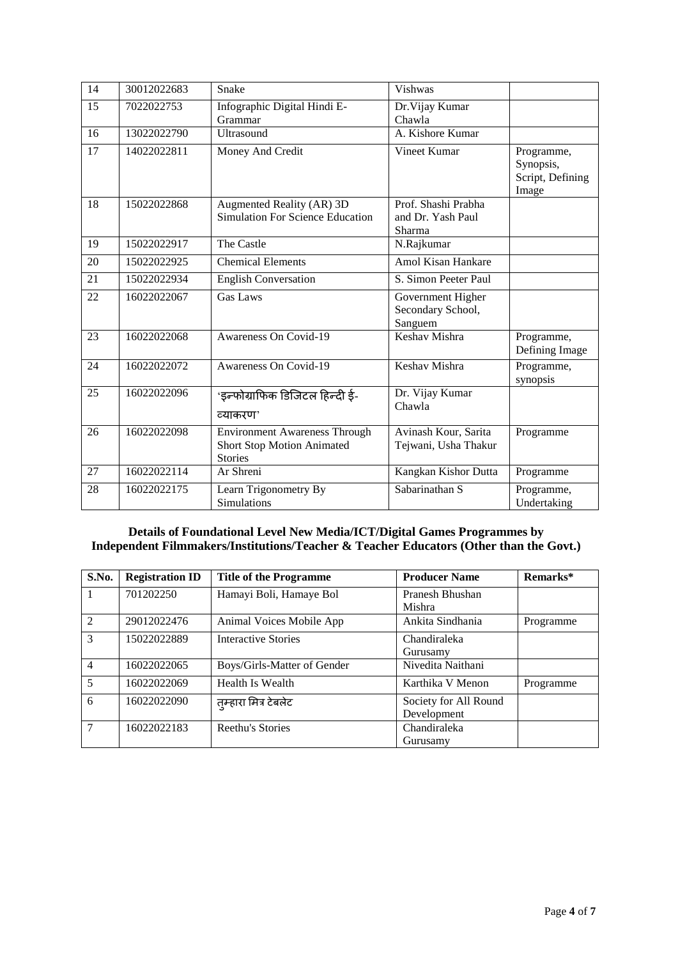| $\overline{14}$ | 30012022683 | Snake                                                                                       | Vishwas                                            |                                                      |
|-----------------|-------------|---------------------------------------------------------------------------------------------|----------------------------------------------------|------------------------------------------------------|
| 15              | 7022022753  | Infographic Digital Hindi E-<br>Grammar                                                     | Dr. Vijay Kumar<br>Chawla                          |                                                      |
| 16              | 13022022790 | <b>Ultrasound</b>                                                                           | A. Kishore Kumar                                   |                                                      |
| 17              | 14022022811 | Money And Credit                                                                            | Vineet Kumar                                       | Programme,<br>Synopsis,<br>Script, Defining<br>Image |
| 18              | 15022022868 | Augmented Reality (AR) 3D<br>Simulation For Science Education                               | Prof. Shashi Prabha<br>and Dr. Yash Paul<br>Sharma |                                                      |
| 19              | 15022022917 | The Castle                                                                                  | N.Rajkumar                                         |                                                      |
| 20              | 15022022925 | <b>Chemical Elements</b>                                                                    | <b>Amol Kisan Hankare</b>                          |                                                      |
| 21              | 15022022934 | <b>English Conversation</b>                                                                 | S. Simon Peeter Paul                               |                                                      |
| 22              | 16022022067 | <b>Gas Laws</b>                                                                             | Government Higher<br>Secondary School,<br>Sanguem  |                                                      |
| 23              | 16022022068 | Awareness On Covid-19                                                                       | Keshav Mishra                                      | Programme,<br>Defining Image                         |
| 24              | 16022022072 | Awareness On Covid-19                                                                       | Keshav Mishra                                      | Programme,<br>synopsis                               |
| 25              | 16022022096 | 'इन्फोग्राफिक डिजिटल हिन्दी ई-<br>व्याकरण'                                                  | Dr. Vijay Kumar<br>Chawla                          |                                                      |
| 26              | 16022022098 | <b>Environment Awareness Through</b><br><b>Short Stop Motion Animated</b><br><b>Stories</b> | Avinash Kour, Sarita<br>Tejwani, Usha Thakur       | Programme                                            |
| 27              | 16022022114 | Ar Shreni                                                                                   | Kangkan Kishor Dutta                               | Programme                                            |
| 28              | 16022022175 | Learn Trigonometry By<br>Simulations                                                        | Sabarinathan S                                     | Programme,<br>Undertaking                            |

## **Details of Foundational Level New Media/ICT/Digital Games Programmes by Independent Filmmakers/Institutions/Teacher & Teacher Educators (Other than the Govt.)**

| S.No.           | <b>Registration ID</b> | <b>Title of the Programme</b> | <b>Producer Name</b>  | Remarks*  |
|-----------------|------------------------|-------------------------------|-----------------------|-----------|
| 1               | 701202250              | Hamayi Boli, Hamaye Bol       | Pranesh Bhushan       |           |
|                 |                        |                               | Mishra                |           |
| 2               | 29012022476            | Animal Voices Mobile App      | Ankita Sindhania      | Programme |
| 3               | 15022022889            | <b>Interactive Stories</b>    | Chandiraleka          |           |
|                 |                        |                               | Gurusamy              |           |
| $\overline{4}$  | 16022022065            | Boys/Girls-Matter of Gender   | Nivedita Naithani     |           |
| $5\overline{)}$ | 16022022069            | Health Is Wealth              | Karthika V Menon      | Programme |
| 6               | 16022022090            | तुम्हारा मित्र टेबलेट         | Society for All Round |           |
|                 |                        |                               | Development           |           |
| $\tau$          | 16022022183            | Reethu's Stories              | Chandiraleka          |           |
|                 |                        |                               | Gurusamy              |           |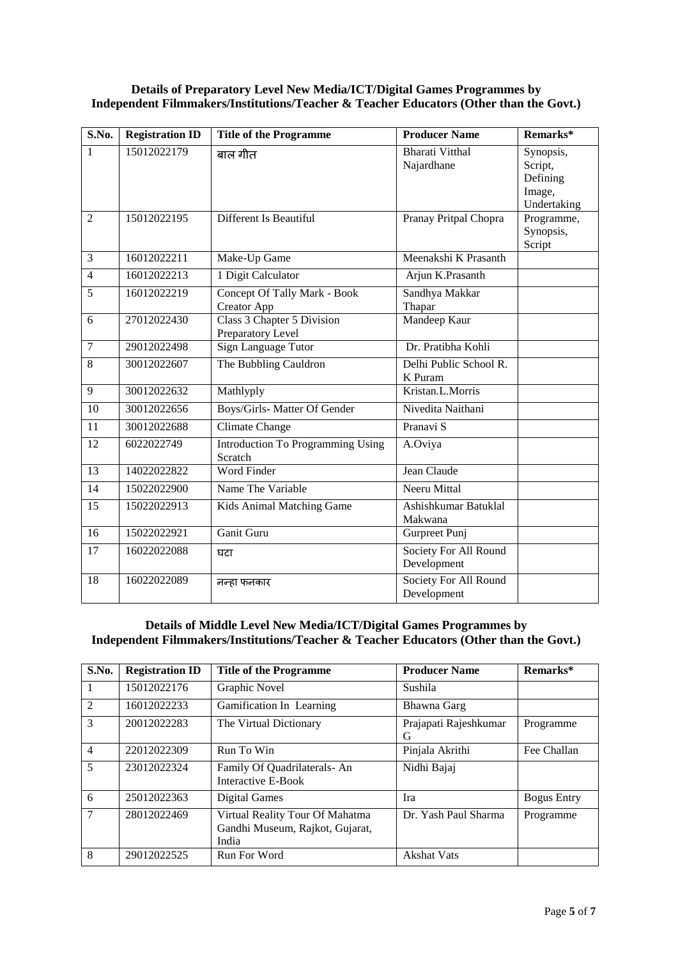#### **Details of Preparatory Level New Media/ICT/Digital Games Programmes by Independent Filmmakers/Institutions/Teacher & Teacher Educators (Other than the Govt.)**

| S.No.           | <b>Registration ID</b> | <b>Title of the Programme</b>                      | <b>Producer Name</b>                 | Remarks*                                                  |
|-----------------|------------------------|----------------------------------------------------|--------------------------------------|-----------------------------------------------------------|
| 1               | 15012022179            | बाल गीत                                            | <b>Bharati Vitthal</b><br>Najardhane | Synopsis,<br>Script,<br>Defining<br>Image,<br>Undertaking |
| $\overline{2}$  | 15012022195            | Different Is Beautiful                             | Pranay Pritpal Chopra                | Programme,<br>Synopsis,<br>Script                         |
| $\overline{3}$  | 16012022211            | Make-Up Game                                       | Meenakshi K Prasanth                 |                                                           |
| $\overline{4}$  | 16012022213            | 1 Digit Calculator                                 | Arjun K.Prasanth                     |                                                           |
| 5               | 16012022219            | Concept Of Tally Mark - Book<br><b>Creator App</b> | Sandhya Makkar<br>Thapar             |                                                           |
| 6               | 27012022430            | Class 3 Chapter 5 Division<br>Preparatory Level    | Mandeep Kaur                         |                                                           |
| $\overline{7}$  | 29012022498            | Sign Language Tutor                                | Dr. Pratibha Kohli                   |                                                           |
| $\overline{8}$  | 30012022607            | The Bubbling Cauldron                              | Delhi Public School R.<br>K Puram    |                                                           |
| $\overline{9}$  | 30012022632            | Mathlyply                                          | Kristan.L.Morris                     |                                                           |
| 10              | 30012022656            | Boys/Girls-Matter Of Gender                        | Nivedita Naithani                    |                                                           |
| 11              | 30012022688            | <b>Climate Change</b>                              | Pranavi S                            |                                                           |
| $\overline{12}$ | 6022022749             | Introduction To Programming Using<br>Scratch       | A.Oviya                              |                                                           |
| 13              | 14022022822            | <b>Word Finder</b>                                 | Jean Claude                          |                                                           |
| 14              | 15022022900            | Name The Variable                                  | Neeru Mittal                         |                                                           |
| 15              | 15022022913            | Kids Animal Matching Game                          | Ashishkumar Batuklal<br>Makwana      |                                                           |
| 16              | 15022022921            | Ganit Guru                                         | Gurpreet Punj                        |                                                           |
| 17              | 16022022088            | घटा                                                | Society For All Round<br>Development |                                                           |
| 18              | 16022022089            | नन्हा फनकार                                        | Society For All Round<br>Development |                                                           |

## **Details of Middle Level New Media/ICT/Digital Games Programmes by Independent Filmmakers/Institutions/Teacher & Teacher Educators (Other than the Govt.)**

| S.No.          | <b>Registration ID</b> | <b>Title of the Programme</b>                                               | <b>Producer Name</b>       | Remarks*           |
|----------------|------------------------|-----------------------------------------------------------------------------|----------------------------|--------------------|
|                | 15012022176            | Graphic Novel                                                               | Sushila                    |                    |
| $\mathfrak{D}$ | 16012022233            | Gamification In Learning                                                    | Bhawna Garg                |                    |
| 3              | 20012022283            | The Virtual Dictionary                                                      | Prajapati Rajeshkumar<br>G | Programme          |
| $\overline{4}$ | 22012022309            | Run To Win                                                                  | Pinjala Akrithi            | Fee Challan        |
| 5              | 23012022324            | Family Of Quadrilaterals-An<br>Interactive E-Book                           | Nidhi Bajaj                |                    |
| 6              | 25012022363            | Digital Games                                                               | Ira                        | <b>Bogus Entry</b> |
| 7              | 28012022469            | Virtual Reality Tour Of Mahatma<br>Gandhi Museum, Rajkot, Gujarat,<br>India | Dr. Yash Paul Sharma       | Programme          |
| 8              | 29012022525            | Run For Word                                                                | <b>Akshat Vats</b>         |                    |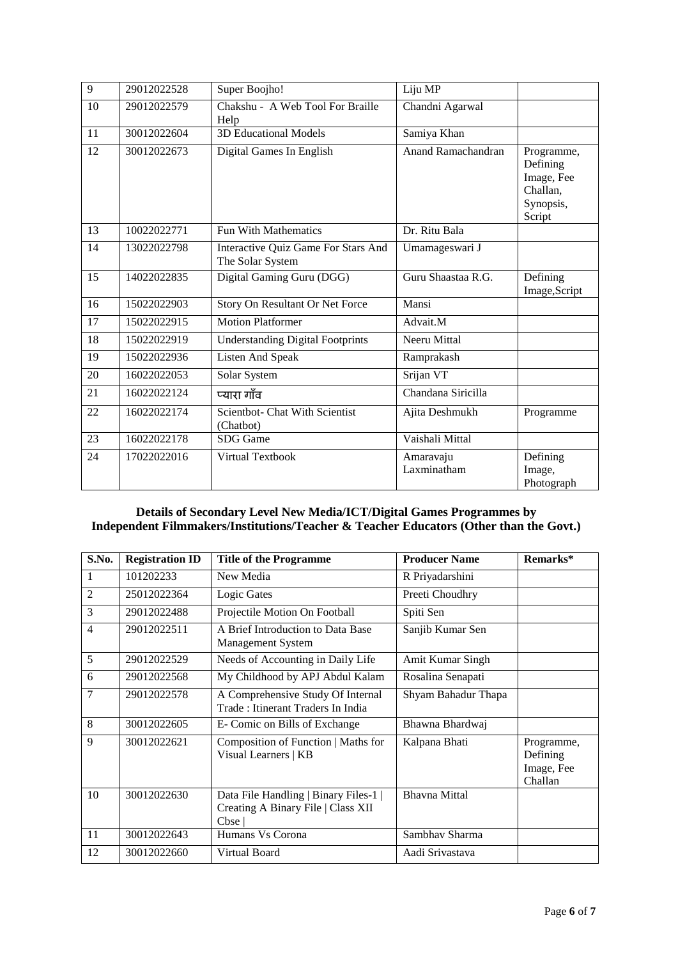| $\overline{9}$ | 29012022528 | Super Boojho!                                           | Liju MP                   |                                                                         |
|----------------|-------------|---------------------------------------------------------|---------------------------|-------------------------------------------------------------------------|
| 10             | 29012022579 | Chakshu - A Web Tool For Braille<br>Help                | Chandni Agarwal           |                                                                         |
| 11             | 30012022604 | <b>3D Educational Models</b>                            | Samiya Khan               |                                                                         |
| 12             | 30012022673 | Digital Games In English                                | <b>Anand Ramachandran</b> | Programme,<br>Defining<br>Image, Fee<br>Challan.<br>Synopsis,<br>Script |
| 13             | 10022022771 | <b>Fun With Mathematics</b>                             | Dr. Ritu Bala             |                                                                         |
| 14             | 13022022798 | Interactive Quiz Game For Stars And<br>The Solar System | Umamageswari J            |                                                                         |
| 15             | 14022022835 | Digital Gaming Guru (DGG)                               | Guru Shaastaa R.G.        | Defining<br>Image, Script                                               |
| 16             | 15022022903 | Story On Resultant Or Net Force                         | Mansi                     |                                                                         |
| 17             | 15022022915 | <b>Motion Platformer</b>                                | Advait.M                  |                                                                         |
| 18             | 15022022919 | <b>Understanding Digital Footprints</b>                 | Neeru Mittal              |                                                                         |
| 19             | 15022022936 | <b>Listen And Speak</b>                                 | Ramprakash                |                                                                         |
| 20             | 16022022053 | Solar System                                            | Srijan VT                 |                                                                         |
| 21             | 16022022124 | प्यारा गाँव                                             | Chandana Siricilla        |                                                                         |
| 22             | 16022022174 | Scientbot- Chat With Scientist<br>(Chatbot)             | Ajita Deshmukh            | Programme                                                               |
| 23             | 16022022178 | SDG Game                                                | Vaishali Mittal           |                                                                         |
| 24             | 17022022016 | Virtual Textbook                                        | Amaravaju<br>Laxminatham  | Defining<br>Image,<br>Photograph                                        |

## **Details of Secondary Level New Media/ICT/Digital Games Programmes by Independent Filmmakers/Institutions/Teacher & Teacher Educators (Other than the Govt.)**

| S.No. | <b>Registration ID</b> | <b>Title of the Programme</b>                                                       | <b>Producer Name</b> | Remarks*                                        |
|-------|------------------------|-------------------------------------------------------------------------------------|----------------------|-------------------------------------------------|
| 1     | 101202233              | New Media                                                                           | R Priyadarshini      |                                                 |
| 2     | 25012022364            | Logic Gates                                                                         | Preeti Choudhry      |                                                 |
| 3     | 29012022488            | Projectile Motion On Football                                                       | Spiti Sen            |                                                 |
| 4     | 29012022511            | A Brief Introduction to Data Base<br>Management System                              | Sanjib Kumar Sen     |                                                 |
| 5     | 29012022529            | Needs of Accounting in Daily Life                                                   | Amit Kumar Singh     |                                                 |
| 6     | 29012022568            | My Childhood by APJ Abdul Kalam                                                     | Rosalina Senapati    |                                                 |
| 7     | 29012022578            | A Comprehensive Study Of Internal<br>Trade: Itinerant Traders In India              | Shyam Bahadur Thapa  |                                                 |
| 8     | 30012022605            | E- Comic on Bills of Exchange                                                       | Bhawna Bhardwaj      |                                                 |
| 9     | 30012022621            | Composition of Function   Maths for<br>Visual Learners   KB                         | Kalpana Bhati        | Programme,<br>Defining<br>Image, Fee<br>Challan |
| 10    | 30012022630            | Data File Handling   Binary Files-1  <br>Creating A Binary File   Class XII<br>Cbse | <b>Bhavna Mittal</b> |                                                 |
| 11    | 30012022643            | Humans Vs Corona                                                                    | Sambhay Sharma       |                                                 |
| 12    | 30012022660            | <b>Virtual Board</b>                                                                | Aadi Srivastava      |                                                 |